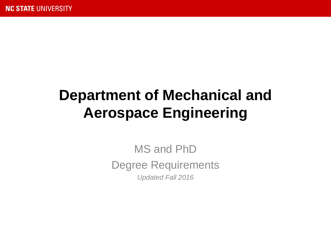# **Department of Mechanical and Aerospace Engineering**

MS and PhD Degree Requirements *Updated Fall 2016*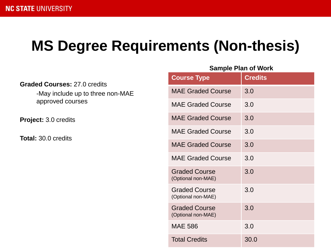# **MS Degree Requirements (Non-thesis)**

| <b>Graded Courses: 27.0 credits</b><br>-May include up to three non-MAE<br>approved courses |  |
|---------------------------------------------------------------------------------------------|--|
| Project: 3.0 credits                                                                        |  |
| <b>Total:</b> 30.0 credits                                                                  |  |
|                                                                                             |  |
|                                                                                             |  |
|                                                                                             |  |
|                                                                                             |  |
|                                                                                             |  |

| <b>Course Type</b>                         | <b>Credits</b> |
|--------------------------------------------|----------------|
| <b>MAE Graded Course</b>                   | 3.0            |
| <b>MAE Graded Course</b>                   | 3.0            |
| <b>MAE Graded Course</b>                   | 3.0            |
| <b>MAE Graded Course</b>                   | 3.0            |
| <b>MAE Graded Course</b>                   | 3.0            |
| <b>MAE Graded Course</b>                   | 3.0            |
| <b>Graded Course</b><br>(Optional non-MAE) | 3.0            |
| <b>Graded Course</b><br>(Optional non-MAE) | 3.0            |
| <b>Graded Course</b><br>(Optional non-MAE) | 3.0            |
| <b>MAE 586</b>                             | 3.0            |
| <b>Total Credits</b>                       | 30.0           |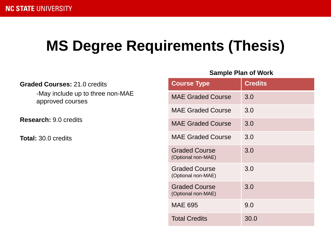## **MS Degree Requirements (Thesis)**

| <b>Graded Courses: 21.0 credits</b><br>-May include up to three non-MAE<br>approved courses |  |
|---------------------------------------------------------------------------------------------|--|
| <b>Research: 9.0 credits</b>                                                                |  |
| <b>Total:</b> 30.0 credits                                                                  |  |
|                                                                                             |  |
|                                                                                             |  |
|                                                                                             |  |
|                                                                                             |  |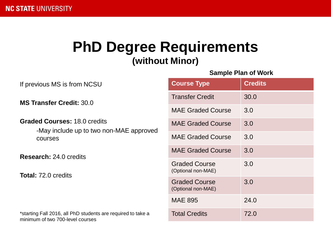### **PhD Degree Requirements (without Minor)**

| If previous MS is from NCSU                                                                      | <b>Course Type</b>                         | <b>Credits</b> |
|--------------------------------------------------------------------------------------------------|--------------------------------------------|----------------|
| <b>MS Transfer Credit: 30.0</b>                                                                  | <b>Transfer Credit</b>                     | 30.0           |
|                                                                                                  | <b>MAE Graded Course</b>                   | 3.0            |
| <b>Graded Courses: 18.0 credits</b><br>-May include up to two non-MAE approved<br>courses        | <b>MAE Graded Course</b>                   | 3.0            |
|                                                                                                  | <b>MAE Graded Course</b>                   | 3.0            |
| <b>Research: 24.0 credits</b><br><b>Total: 72.0 credits</b>                                      | <b>MAE Graded Course</b>                   | 3.0            |
|                                                                                                  | <b>Graded Course</b><br>(Optional non-MAE) | 3.0            |
|                                                                                                  | <b>Graded Course</b><br>(Optional non-MAE) | 3.0            |
|                                                                                                  | <b>MAE 895</b>                             | 24.0           |
| *starting Fall 2016, all PhD students are required to take a<br>minimum of two 700-level courses | <b>Total Credits</b>                       | 72.0           |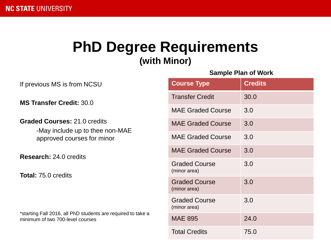## **PhD Degree Requirements (with Minor)**

| If previous MS is from NCSU                                                                      | <b>Course Type</b>                   | C              |
|--------------------------------------------------------------------------------------------------|--------------------------------------|----------------|
| <b>MS Transfer Credit: 30.0</b>                                                                  | <b>Transfer Credit</b>               | Ć              |
|                                                                                                  | <b>MAE Graded Course</b>             |                |
| <b>Graded Courses: 21.0 credits</b>                                                              | <b>MAE Graded Course</b>             | $\ddot{\cdot}$ |
| -May include up to thee non-MAE<br>approved courses for minor                                    | <b>MAE Graded Course</b>             | Ć              |
| <b>Research: 24.0 credits</b>                                                                    | <b>MAE Graded Course</b>             | Ć              |
| <b>Total: 75.0 credits</b>                                                                       | <b>Graded Course</b><br>(minor area) | Ć              |
|                                                                                                  | <b>Graded Course</b><br>(minor area) | Ć              |
|                                                                                                  | <b>Graded Course</b><br>(minor area) |                |
| *starting Fall 2016, all PhD students are required to take a<br>minimum of two 700-level courses | <b>MAE 895</b>                       | $\tilde{z}$    |
|                                                                                                  | Total Credits                        |                |

| <b>Course Type</b>                   | <b>Credits</b> |
|--------------------------------------|----------------|
| <b>Transfer Credit</b>               | 30.0           |
| <b>MAE Graded Course</b>             | 3.0            |
| <b>MAE Graded Course</b>             | 3.0            |
| <b>MAE Graded Course</b>             | 3.0            |
| <b>MAE Graded Course</b>             | 3.0            |
| <b>Graded Course</b><br>(minor area) | 3.0            |
| <b>Graded Course</b><br>(minor area) | 3.0            |
| <b>Graded Course</b><br>(minor area) | 3.0            |
| <b>MAE 895</b>                       | 24.0           |
| <b>Total Credits</b>                 | 75.0           |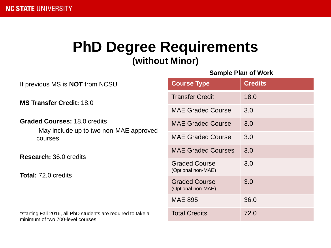### **PhD Degree Requirements (without Minor)**

| If previous MS is <b>NOT</b> from NCSU                                                           | <b>Course Type</b>                         | <b>Credits</b> |
|--------------------------------------------------------------------------------------------------|--------------------------------------------|----------------|
| <b>MS Transfer Credit: 18.0</b>                                                                  | <b>Transfer Credit</b>                     | 18.0           |
|                                                                                                  | <b>MAE Graded Course</b>                   | 3.0            |
| <b>Graded Courses: 18.0 credits</b><br>-May include up to two non-MAE approved<br>courses        | <b>MAE Graded Course</b>                   | 3.0            |
|                                                                                                  | <b>MAE Graded Course</b>                   | 3.0            |
| <b>Research: 36.0 credits</b><br><b>Total: 72.0 credits</b>                                      | <b>MAE Graded Courses</b>                  | 3.0            |
|                                                                                                  | <b>Graded Course</b><br>(Optional non-MAE) | 3.0            |
|                                                                                                  | <b>Graded Course</b><br>(Optional non-MAE) | 3.0            |
|                                                                                                  | <b>MAE 895</b>                             | 36.0           |
| *starting Fall 2016, all PhD students are required to take a<br>minimum of two 700-level courses | <b>Total Credits</b>                       | 72.0           |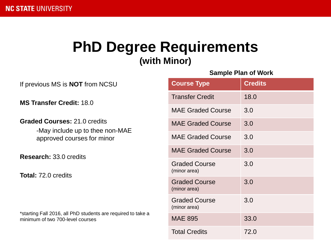## **PhD Degree Requirements (with Minor)**

| If previous MS is <b>NOT</b> from NCSU                                                               |
|------------------------------------------------------------------------------------------------------|
| MS Transfer Credit: 18.0                                                                             |
| <b>Graded Courses: 21.0 credits</b><br>-May include up to thee non-MAE<br>approved courses for minor |
| <b>Research: 33.0 credits</b>                                                                        |
| <b>Total: 72.0 credits</b>                                                                           |
|                                                                                                      |
| *starting Fall 2016, all PhD students are required to take a<br>minimum of two 700-level courses     |

| <b>Course Type</b>                   | <b>Credits</b> |
|--------------------------------------|----------------|
| <b>Transfer Credit</b>               | 18.0           |
| <b>MAE Graded Course</b>             | 3.0            |
| <b>MAE Graded Course</b>             | 3.0            |
| <b>MAE Graded Course</b>             | 3.0            |
| <b>MAE Graded Course</b>             | 3.0            |
| <b>Graded Course</b><br>(minor area) | 3.0            |
| <b>Graded Course</b><br>(minor area) | 3.0            |
| <b>Graded Course</b><br>(minor area) | 3.0            |
| <b>MAE 895</b>                       | 33.0           |
| <b>Total Credits</b>                 | 72.0           |